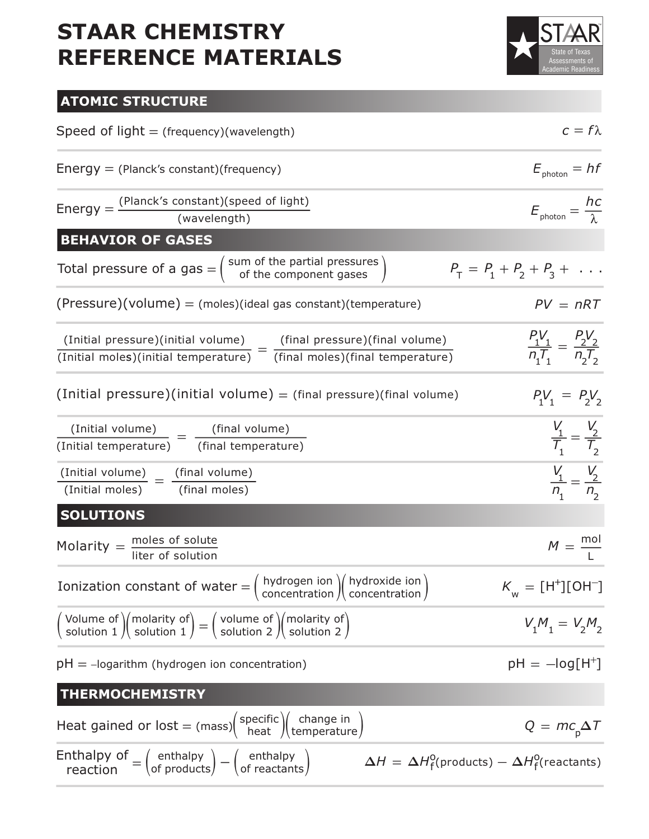

### **ATOMIC STRUCTURE**

| Speed of $light = (frequency)(wavelength)$                                                                                                                                                                             | $c = f\lambda$                                  |
|------------------------------------------------------------------------------------------------------------------------------------------------------------------------------------------------------------------------|-------------------------------------------------|
| Energy $=$ (Planck's constant) (frequency)                                                                                                                                                                             | $E_{\text{photon}} = hf$                        |
| Energy = $\frac{(Planck's constant)(speed of light)}{(wavelength)}$                                                                                                                                                    | $E_{\text{photon}} = \frac{hc}{\lambda}$        |
| <b>BEHAVIOR OF GASES</b>                                                                                                                                                                                               |                                                 |
| Total pressure of a gas $=$ $\begin{pmatrix}$ sum of the partial pressures $\end{pmatrix}$                                                                                                                             | $P_T = P_1 + P_2 + P_3 + \dots$                 |
| $(Pressure)(volume) = (moles)(ideal gas constant)(temperature)$                                                                                                                                                        | $PV = nRT$                                      |
| $(Initial pressure)(initial volume)$<br>= $(final pressure)(final volume)$                                                                                                                                             | $\frac{P_1V_1}{n_1T_1} = \frac{P_2V_2}{n_2T_2}$ |
| $\overline{(\text{Initial moles})(\text{initial temperature})}$ $ \overline{(\text{final moles})(\text{final temperature})}$                                                                                           |                                                 |
| $(Initial pressure)(initial volume) = (final pressure)(final volume)$                                                                                                                                                  | $P_1V_1 = P_2V_2$                               |
| $\frac{\text{(Initial volume)}}{\text{=}}$ $=$ $\frac{\text{(final volume)}}{\text{=}}$                                                                                                                                | $\frac{V_1}{T_1} = \frac{V_2}{T_2}$             |
| (Initial temperature) (final temperature)                                                                                                                                                                              |                                                 |
| $\frac{\text{(Initial volume)}}{\text{=}}$ $\frac{\text{(final volume)}}{\text{=}}$<br>(Initial moles) (final moles)                                                                                                   | $\frac{V_1}{n_1} = \frac{V_2}{n_2}$             |
| <b>SOLUTIONS</b>                                                                                                                                                                                                       |                                                 |
| Molarity $=$ $\frac{\text{moles of solute}}{\text{liter of solution}}$                                                                                                                                                 | $M = \frac{mol}{I}$                             |
| Ionization constant of water = $\begin{pmatrix} hydrogen & \text{ion} \\ \text{concentration} \end{pmatrix}$ (hydroxide ion)                                                                                           | $K_{_{\rm W}}=[{\rm H}^+][{\rm OH}^-]$          |
| $\begin{pmatrix}$ Volume of $\end{pmatrix}$ (molarity of $\begin{pmatrix} 1 \end{pmatrix} = \begin{pmatrix} 1 \end{pmatrix}$ volume of $\begin{pmatrix} 0 \end{pmatrix}$ molarity of $\begin{pmatrix} 0 \end{pmatrix}$ | $V_1M_1 = V_2M_2$                               |
| $pH = -logarithm$ (hydrogen ion concentration)                                                                                                                                                                         | $pH = -log[H^+]$                                |
| <b>THERMOCHEMISTRY</b>                                                                                                                                                                                                 |                                                 |
| Heat gained or lost = (mass) $\left(\begin{array}{c} \text{specific} \\ \text{heat} \end{array}\right)$ (change in                                                                                                     | $Q = mc_p \Delta T$                             |
| Enthalpy of $=$ $\begin{pmatrix}$ enthalpy $\end{pmatrix} - \begin{pmatrix}$ enthalpy of reaction<br>$\Delta H = \Delta H_{\rm f}^{\rm o}({\rm products}) - \Delta H_{\rm f}^{\rm o}({\rm reactants})$                 |                                                 |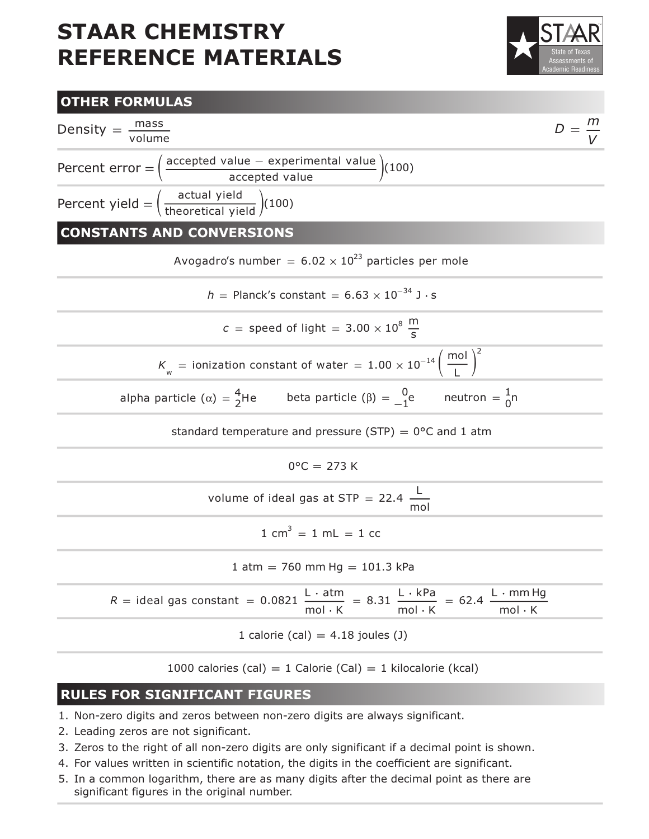



#### **RULES FOR SIGNIFICANT FIGURES**

- 1. Non-zero digits and zeros between non-zero digits are always significant.
- 2. Leading zeros are not significant.
- 3. Zeros to the right of all non-zero digits are only significant if a decimal point is shown.
- 4. For values written in scientific notation, the digits in the coefficient are significant.
- 5. In a common logarithm, there are as many digits after the decimal point as there are significant figures in the original number.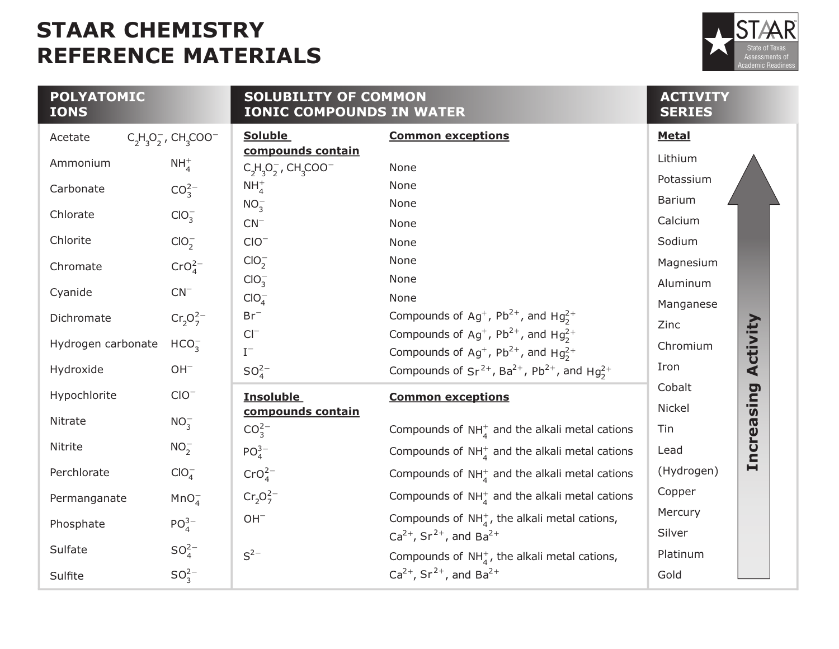

| <b>POLYATOMIC</b><br><b>IONS</b> |                                                  | <b>SOLUBILITY OF COMMON</b><br><b>IONIC COMPOUNDS IN WATER</b>        | <b>ACTIVITY</b><br><b>SERIES</b>                                                                |                       |
|----------------------------------|--------------------------------------------------|-----------------------------------------------------------------------|-------------------------------------------------------------------------------------------------|-----------------------|
| Acetate                          | $C_2H_3O_2^-$ , CH <sub>3</sub> COO <sup>-</sup> | <b>Soluble</b>                                                        | <b>Common exceptions</b>                                                                        | <b>Metal</b>          |
| Ammonium                         | $NH4+$                                           | compounds contain<br>$C_2H_3O_2^-$ , CH <sub>3</sub> COO <sup>-</sup> | None                                                                                            | Lithium               |
| Carbonate                        | $CO_3^{2-}$                                      | $NH4+$                                                                | None                                                                                            | Potassium             |
| Chlorate                         | ClO <sub>3</sub>                                 | $NO_2^-$                                                              | None                                                                                            | Barium                |
|                                  |                                                  | $CN^{-}$                                                              | None                                                                                            | Calcium               |
| Chlorite                         | ClO <sub>2</sub>                                 | $CIO^-$                                                               | None                                                                                            | Sodium                |
| Chromate                         | CrO <sub>A</sub> <sup>2–</sup>                   | ClO <sub>2</sub>                                                      | None                                                                                            | Magnesium             |
|                                  |                                                  | ClO <sub>3</sub>                                                      | None                                                                                            | Aluminum              |
| Cyanide                          | $CN^{-}$                                         | $ClO4^-$                                                              | None                                                                                            | Manganese             |
| Dichromate                       | $Cr_2O_7^{2-}$                                   | $Br^-$                                                                | Compounds of Ag <sup>+</sup> , Pb <sup>2+</sup> , and Hg <sub>2</sub> <sup>+</sup>              | Zinc                  |
| Hydrogen carbonate               | HCO <sub>2</sub>                                 | $CI^{-}$                                                              | Compounds of Ag <sup>+</sup> , Pb <sup>2+</sup> , and Hg <sub>2</sub> <sup>+</sup>              | Activity<br>Chromium  |
|                                  |                                                  | $I^-$                                                                 | Compounds of Ag <sup>+</sup> , Pb <sup>2+</sup> , and Hg <sub>2</sub> <sup>+</sup>              | Iron                  |
| Hydroxide                        | $OH^-$                                           | SO <sub>A</sub> <sup>2–</sup>                                         | Compounds of $Sr^{2+}$ , Ba <sup>2+</sup> , Pb <sup>2+</sup> , and Hg <sub>2</sub> <sup>+</sup> |                       |
| Hypochlorite                     | $CIO^{-}$                                        | <b>Insoluble</b>                                                      | <b>Common exceptions</b>                                                                        | Cobalt<br>sing        |
| Nitrate                          |                                                  | compounds contain                                                     |                                                                                                 | <b>Nickel</b>         |
|                                  | $NO_3^-$                                         | $CO_3^{2-}$                                                           | Compounds of $NH_4^+$ and the alkali metal cations                                              | Tin                   |
| Nitrite                          | $NO_2^-$                                         | $PO_{4}^{3-}$                                                         | Compounds of $NH4+$ and the alkali metal cations                                                | <b>Increa</b><br>Lead |
| Perchlorate                      | $ClO4^-$                                         | CrO <sub>4</sub> <sup>2–</sup>                                        | Compounds of $NH_A^+$ and the alkali metal cations                                              | (Hydrogen)            |
| Permanganate                     | MnO <sub>4</sub>                                 | $Cr_2O_7^{2-}$                                                        | Compounds of $NH_4^+$ and the alkali metal cations                                              | Copper                |
|                                  |                                                  | $OH^-$                                                                | Compounds of $NH_{4}^{+}$ , the alkali metal cations,                                           | Mercury               |
| Phosphate                        | PO <sub>4</sub> <sup>3–</sup>                    |                                                                       | $Ca^{2+}$ , Sr <sup>2+</sup> , and Ba <sup>2+</sup>                                             | Silver                |
| Sulfate                          | $SO_4^{2-}$                                      | $S^{2-}$                                                              | Compounds of $NH_{4}^{+}$ , the alkali metal cations,                                           | Platinum              |
| Sulfite                          | $SO_3^{2-}$                                      |                                                                       | $Ca^{2+}$ , Sr <sup>2+</sup> , and Ba <sup>2+</sup>                                             | Gold                  |